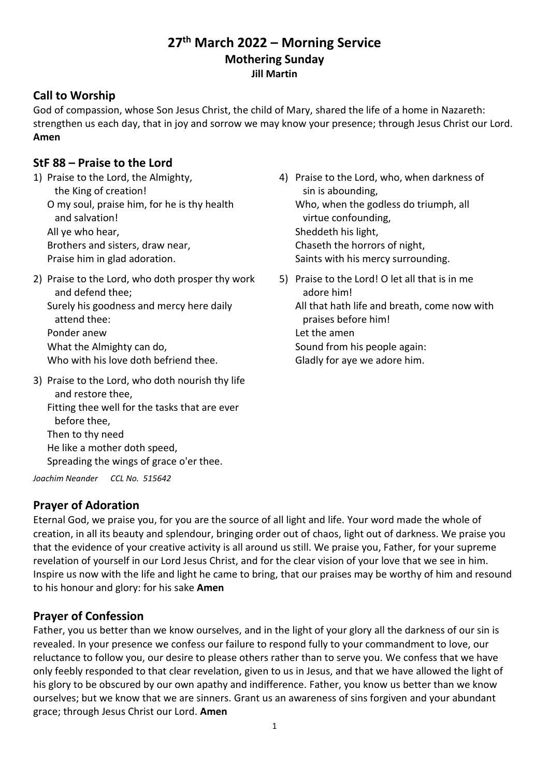# **27th March 2022 – Morning Service Mothering Sunday Jill Martin**

## **Call to Worship**

God of compassion, whose Son Jesus Christ, the child of Mary, shared the life of a home in Nazareth: strengthen us each day, that in joy and sorrow we may know your presence; through Jesus Christ our Lord. **Amen**

#### **StF 88 – Praise to the Lord**

1) Praise to the Lord, the Almighty, the King of creation!

O my soul, praise him, for he is thy health and salvation! All ye who hear, Brothers and sisters, draw near, Praise him in glad adoration.

2) Praise to the Lord, who doth prosper thy work and defend thee;

Surely his goodness and mercy here daily attend thee: Ponder anew What the Almighty can do, Who with his love doth befriend thee.

3) Praise to the Lord, who doth nourish thy life and restore thee, Fitting thee well for the tasks that are ever before thee, Then to thy need He like a mother doth speed, Spreading the wings of grace o'er thee.

*Joachim Neander CCL No. 515642*

#### **Prayer of Adoration**

Eternal God, we praise you, for you are the source of all light and life. Your word made the whole of creation, in all its beauty and splendour, bringing order out of chaos, light out of darkness. We praise you that the evidence of your creative activity is all around us still. We praise you, Father, for your supreme revelation of yourself in our Lord Jesus Christ, and for the clear vision of your love that we see in him. Inspire us now with the life and light he came to bring, that our praises may be worthy of him and resound to his honour and glory: for his sake **Amen**

## **Prayer of Confession**

Father, you us better than we know ourselves, and in the light of your glory all the darkness of our sin is revealed. In your presence we confess our failure to respond fully to your commandment to love, our reluctance to follow you, our desire to please others rather than to serve you. We confess that we have only feebly responded to that clear revelation, given to us in Jesus, and that we have allowed the light of his glory to be obscured by our own apathy and indifference. Father, you know us better than we know ourselves; but we know that we are sinners. Grant us an awareness of sins forgiven and your abundant grace; through Jesus Christ our Lord. **Amen**

- 4) Praise to the Lord, who, when darkness of sin is abounding, Who, when the godless do triumph, all virtue confounding, Sheddeth his light, Chaseth the horrors of night, Saints with his mercy surrounding.
- 5) Praise to the Lord! O let all that is in me adore him! All that hath life and breath, come now with praises before him! Let the amen Sound from his people again: Gladly for aye we adore him.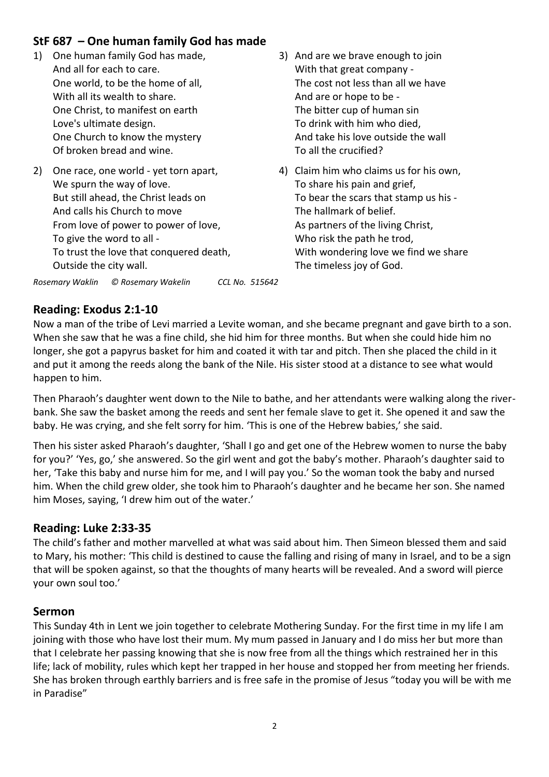# **StF 687 – One human family God has made**

- 1) One human family God has made, And all for each to care. One world, to be the home of all, With all its wealth to share. One Christ, to manifest on earth Love's ultimate design. One Church to know the mystery Of broken bread and wine.
- 2) One race, one world yet torn apart, We spurn the way of love. But still ahead, the Christ leads on And calls his Church to move From love of power to power of love, To give the word to all - To trust the love that conquered death, Outside the city wall.

*Rosemary Waklin © Rosemary Wakelin CCL No. 515642*

- 3) And are we brave enough to join With that great company - The cost not less than all we have And are or hope to be - The bitter cup of human sin To drink with him who died, And take his love outside the wall To all the crucified?
- 4) Claim him who claims us for his own, To share his pain and grief, To bear the scars that stamp us his - The hallmark of belief. As partners of the living Christ, Who risk the path he trod, With wondering love we find we share The timeless joy of God.

## **Reading: Exodus 2:1-10**

Now a man of the tribe of Levi married a Levite woman, and she became pregnant and gave birth to a son. When she saw that he was a fine child, she hid him for three months. But when she could hide him no longer, she got a papyrus basket for him and coated it with tar and pitch. Then she placed the child in it and put it among the reeds along the bank of the Nile. His sister stood at a distance to see what would happen to him.

Then Pharaoh's daughter went down to the Nile to bathe, and her attendants were walking along the riverbank. She saw the basket among the reeds and sent her female slave to get it. She opened it and saw the baby. He was crying, and she felt sorry for him. 'This is one of the Hebrew babies,' she said.

Then his sister asked Pharaoh's daughter, 'Shall I go and get one of the Hebrew women to nurse the baby for you?' 'Yes, go,' she answered. So the girl went and got the baby's mother. Pharaoh's daughter said to her, 'Take this baby and nurse him for me, and I will pay you.' So the woman took the baby and nursed him. When the child grew older, she took him to Pharaoh's daughter and he became her son. She named him Moses, saying, 'I drew him out of the water.'

#### **Reading: Luke 2:33-35**

The child's father and mother marvelled at what was said about him. Then Simeon blessed them and said to Mary, his mother: 'This child is destined to cause the falling and rising of many in Israel, and to be a sign that will be spoken against, so that the thoughts of many hearts will be revealed. And a sword will pierce your own soul too.'

#### **Sermon**

This Sunday 4th in Lent we join together to celebrate Mothering Sunday. For the first time in my life I am joining with those who have lost their mum. My mum passed in January and I do miss her but more than that I celebrate her passing knowing that she is now free from all the things which restrained her in this life; lack of mobility, rules which kept her trapped in her house and stopped her from meeting her friends. She has broken through earthly barriers and is free safe in the promise of Jesus "today you will be with me in Paradise"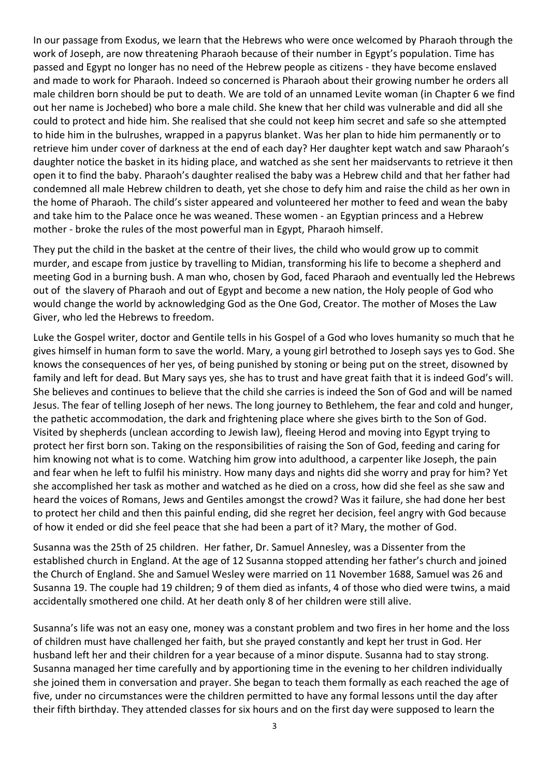In our passage from Exodus, we learn that the Hebrews who were once welcomed by Pharaoh through the work of Joseph, are now threatening Pharaoh because of their number in Egypt's population. Time has passed and Egypt no longer has no need of the Hebrew people as citizens - they have become enslaved and made to work for Pharaoh. Indeed so concerned is Pharaoh about their growing number he orders all male children born should be put to death. We are told of an unnamed Levite woman (in Chapter 6 we find out her name is Jochebed) who bore a male child. She knew that her child was vulnerable and did all she could to protect and hide him. She realised that she could not keep him secret and safe so she attempted to hide him in the bulrushes, wrapped in a papyrus blanket. Was her plan to hide him permanently or to retrieve him under cover of darkness at the end of each day? Her daughter kept watch and saw Pharaoh's daughter notice the basket in its hiding place, and watched as she sent her maidservants to retrieve it then open it to find the baby. Pharaoh's daughter realised the baby was a Hebrew child and that her father had condemned all male Hebrew children to death, yet she chose to defy him and raise the child as her own in the home of Pharaoh. The child's sister appeared and volunteered her mother to feed and wean the baby and take him to the Palace once he was weaned. These women - an Egyptian princess and a Hebrew mother - broke the rules of the most powerful man in Egypt, Pharaoh himself.

They put the child in the basket at the centre of their lives, the child who would grow up to commit murder, and escape from justice by travelling to Midian, transforming his life to become a shepherd and meeting God in a burning bush. A man who, chosen by God, faced Pharaoh and eventually led the Hebrews out of the slavery of Pharaoh and out of Egypt and become a new nation, the Holy people of God who would change the world by acknowledging God as the One God, Creator. The mother of Moses the Law Giver, who led the Hebrews to freedom.

Luke the Gospel writer, doctor and Gentile tells in his Gospel of a God who loves humanity so much that he gives himself in human form to save the world. Mary, a young girl betrothed to Joseph says yes to God. She knows the consequences of her yes, of being punished by stoning or being put on the street, disowned by family and left for dead. But Mary says yes, she has to trust and have great faith that it is indeed God's will. She believes and continues to believe that the child she carries is indeed the Son of God and will be named Jesus. The fear of telling Joseph of her news. The long journey to Bethlehem, the fear and cold and hunger, the pathetic accommodation, the dark and frightening place where she gives birth to the Son of God. Visited by shepherds (unclean according to Jewish law), fleeing Herod and moving into Egypt trying to protect her first born son. Taking on the responsibilities of raising the Son of God, feeding and caring for him knowing not what is to come. Watching him grow into adulthood, a carpenter like Joseph, the pain and fear when he left to fulfil his ministry. How many days and nights did she worry and pray for him? Yet she accomplished her task as mother and watched as he died on a cross, how did she feel as she saw and heard the voices of Romans, Jews and Gentiles amongst the crowd? Was it failure, she had done her best to protect her child and then this painful ending, did she regret her decision, feel angry with God because of how it ended or did she feel peace that she had been a part of it? Mary, the mother of God.

Susanna was the 25th of 25 children. Her father, Dr. Samuel Annesley, was a Dissenter from the established church in England. At the age of 12 Susanna stopped attending her father's church and joined the Church of England. She and Samuel Wesley were married on 11 November 1688, Samuel was 26 and Susanna 19. The couple had 19 children; 9 of them died as infants, 4 of those who died were twins, a maid accidentally smothered one child. At her death only 8 of her children were still alive.

Susanna's life was not an easy one, money was a constant problem and two fires in her home and the loss of children must have challenged her faith, but she prayed constantly and kept her trust in God. Her husband left her and their children for a year because of a minor dispute. Susanna had to stay strong. Susanna managed her time carefully and by apportioning time in the evening to her children individually she joined them in conversation and prayer. She began to teach them formally as each reached the age of five, under no circumstances were the children permitted to have any formal lessons until the day after their fifth birthday. They attended classes for six hours and on the first day were supposed to learn the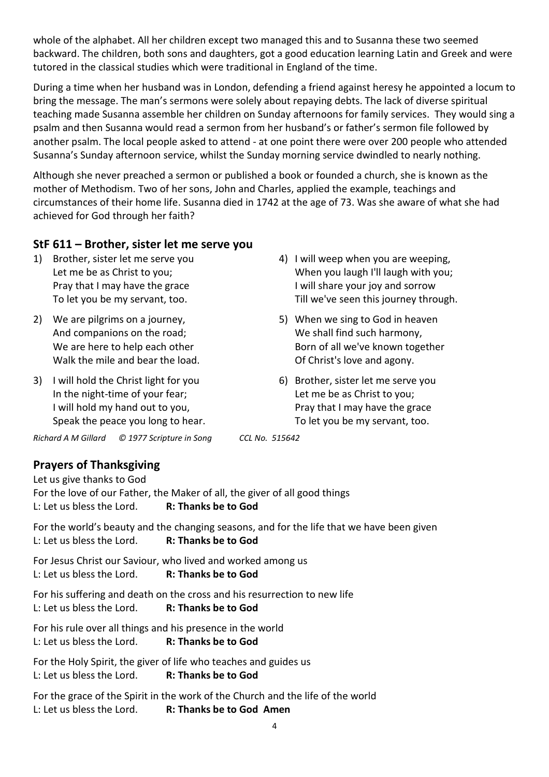whole of the alphabet. All her children except two managed this and to Susanna these two seemed backward. The children, both sons and daughters, got a good education learning Latin and Greek and were tutored in the classical studies which were traditional in England of the time.

During a time when her husband was in London, defending a friend against heresy he appointed a locum to bring the message. The man's sermons were solely about repaying debts. The lack of diverse spiritual teaching made Susanna assemble her children on Sunday afternoons for family services. They would sing a psalm and then Susanna would read a sermon from her husband's or father's sermon file followed by another psalm. The local people asked to attend - at one point there were over 200 people who attended Susanna's Sunday afternoon service, whilst the Sunday morning service dwindled to nearly nothing.

Although she never preached a sermon or published a book or founded a church, she is known as the mother of Methodism. Two of her sons, John and Charles, applied the example, teachings and circumstances of their home life. Susanna died in 1742 at the age of 73. Was she aware of what she had achieved for God through her faith?

#### **StF 611 – Brother, sister let me serve you**

- 1) Brother, sister let me serve you Let me be as Christ to you; Pray that I may have the grace To let you be my servant, too.
- 2) We are pilgrims on a journey, And companions on the road; We are here to help each other Walk the mile and bear the load.
- 3) I will hold the Christ light for you In the night-time of your fear; I will hold my hand out to you, Speak the peace you long to hear.
- *Richard A M Gillard © 1977 Scripture in Song CCL No. 515642*
- 4) I will weep when you are weeping, When you laugh I'll laugh with you; I will share your joy and sorrow Till we've seen this journey through.
- 5) When we sing to God in heaven We shall find such harmony, Born of all we've known together Of Christ's love and agony.
- 6) Brother, sister let me serve you Let me be as Christ to you; Pray that I may have the grace To let you be my servant, too.

## **Prayers of Thanksgiving**

Let us give thanks to God For the love of our Father, the Maker of all, the giver of all good things L: Let us bless the Lord. **R: Thanks be to God**

For the world's beauty and the changing seasons, and for the life that we have been given L: Let us bless the Lord. **R: Thanks be to God**

For Jesus Christ our Saviour, who lived and worked among us L: Let us bless the Lord. **R: Thanks be to God**

For his suffering and death on the cross and his resurrection to new life L: Let us bless the Lord. **R: Thanks be to God**

For his rule over all things and his presence in the world L: Let us bless the Lord. **R: Thanks be to God**

For the Holy Spirit, the giver of life who teaches and guides us L: Let us bless the Lord. **R: Thanks be to God**

For the grace of the Spirit in the work of the Church and the life of the world L: Let us bless the Lord. **R: Thanks be to God Amen**